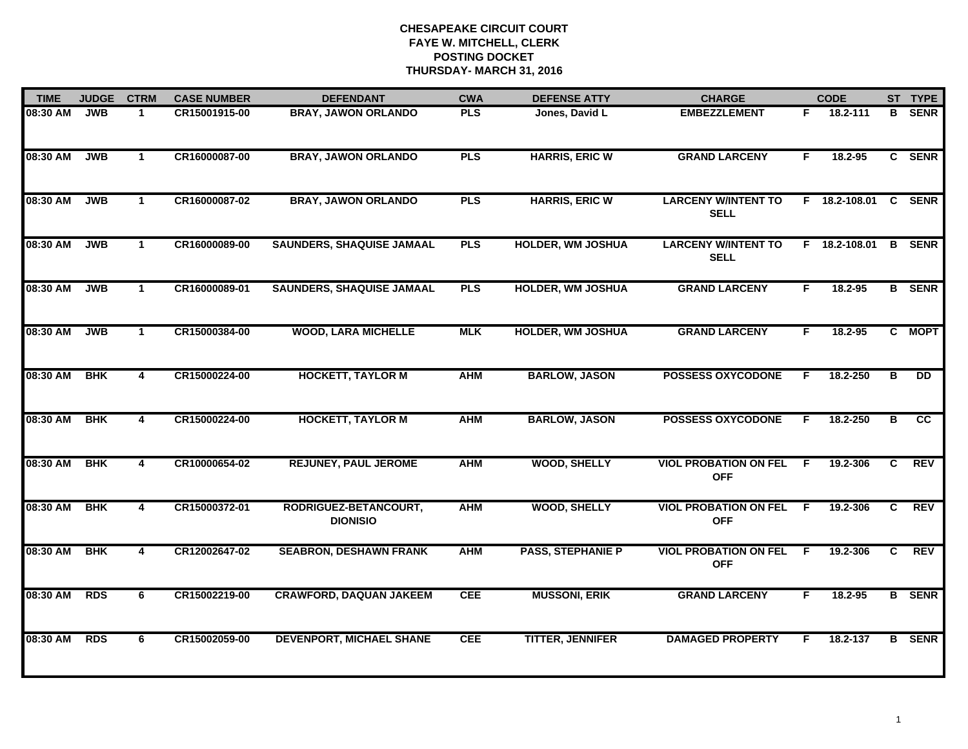| <b>TIME</b> | <b>JUDGE</b> | <b>CTRM</b>  | <b>CASE NUMBER</b> | <b>DEFENDANT</b>                         | <b>CWA</b> | <b>DEFENSE ATTY</b>      | <b>CHARGE</b>                              |    | <b>CODE</b>   |    | ST TYPE         |
|-------------|--------------|--------------|--------------------|------------------------------------------|------------|--------------------------|--------------------------------------------|----|---------------|----|-----------------|
| 08:30 AM    | <b>JWB</b>   | $\mathbf 1$  | CR15001915-00      | <b>BRAY, JAWON ORLANDO</b>               | <b>PLS</b> | Jones, David L           | <b>EMBEZZLEMENT</b>                        | F. | 18.2-111      | в  | <b>SENR</b>     |
| 08:30 AM    | <b>JWB</b>   | $\mathbf{1}$ | CR16000087-00      | <b>BRAY, JAWON ORLANDO</b>               | <b>PLS</b> | <b>HARRIS, ERIC W</b>    | <b>GRAND LARCENY</b>                       | F. | 18.2-95       |    | C SENR          |
| 08:30 AM    | <b>JWB</b>   | $\mathbf{1}$ | CR16000087-02      | <b>BRAY, JAWON ORLANDO</b>               | <b>PLS</b> | <b>HARRIS, ERIC W</b>    | <b>LARCENY W/INTENT TO</b><br><b>SELL</b>  |    | F 18.2-108.01 |    | C SENR          |
| 08:30 AM    | <b>JWB</b>   | $\mathbf 1$  | CR16000089-00      | <b>SAUNDERS, SHAQUISE JAMAAL</b>         | <b>PLS</b> | <b>HOLDER, WM JOSHUA</b> | <b>LARCENY W/INTENT TO</b><br><b>SELL</b>  |    | F 18.2-108.01 |    | <b>B</b> SENR   |
| 08:30 AM    | <b>JWB</b>   | $\mathbf{1}$ | CR16000089-01      | <b>SAUNDERS, SHAQUISE JAMAAL</b>         | <b>PLS</b> | <b>HOLDER, WM JOSHUA</b> | <b>GRAND LARCENY</b>                       | F. | 18.2-95       |    | <b>B</b> SENR   |
| 08:30 AM    | <b>JWB</b>   | $\mathbf{1}$ | CR15000384-00      | <b>WOOD, LARA MICHELLE</b>               | <b>MLK</b> | <b>HOLDER, WM JOSHUA</b> | <b>GRAND LARCENY</b>                       | F. | 18.2-95       |    | C MOPT          |
| 08:30 AM    | <b>BHK</b>   | 4            | CR15000224-00      | <b>HOCKETT, TAYLOR M</b>                 | <b>AHM</b> | <b>BARLOW, JASON</b>     | <b>POSSESS OXYCODONE</b>                   | F. | 18.2-250      | в  | <b>DD</b>       |
| 08:30 AM    | <b>BHK</b>   | 4            | CR15000224-00      | <b>HOCKETT, TAYLOR M</b>                 | <b>AHM</b> | <b>BARLOW, JASON</b>     | <b>POSSESS OXYCODONE</b>                   | F  | 18.2-250      | в  | $\overline{cc}$ |
| 08:30 AM    | <b>BHK</b>   | 4            | CR10000654-02      | <b>REJUNEY, PAUL JEROME</b>              | <b>AHM</b> | <b>WOOD, SHELLY</b>      | <b>VIOL PROBATION ON FEL</b><br><b>OFF</b> | -F | 19.2-306      | C  | <b>REV</b>      |
| 08:30 AM    | <b>BHK</b>   | 4            | CR15000372-01      | RODRIGUEZ-BETANCOURT,<br><b>DIONISIO</b> | <b>AHM</b> | <b>WOOD, SHELLY</b>      | <b>VIOL PROBATION ON FEL</b><br><b>OFF</b> | F  | 19.2-306      | C. | <b>REV</b>      |
| 08:30 AM    | <b>BHK</b>   | 4            | CR12002647-02      | <b>SEABRON, DESHAWN FRANK</b>            | <b>AHM</b> | <b>PASS, STEPHANIE P</b> | <b>VIOL PROBATION ON FEL</b><br><b>OFF</b> | -F | 19.2-306      | C. | <b>REV</b>      |
| 08:30 AM    | <b>RDS</b>   | 6            | CR15002219-00      | <b>CRAWFORD, DAQUAN JAKEEM</b>           | <b>CEE</b> | <b>MUSSONI, ERIK</b>     | <b>GRAND LARCENY</b>                       | F  | 18.2-95       |    | <b>B</b> SENR   |
| 08:30 AM    | <b>RDS</b>   | 6            | CR15002059-00      | <b>DEVENPORT, MICHAEL SHANE</b>          | <b>CEE</b> | <b>TITTER, JENNIFER</b>  | <b>DAMAGED PROPERTY</b>                    | F  | 18.2-137      | B  | <b>SENR</b>     |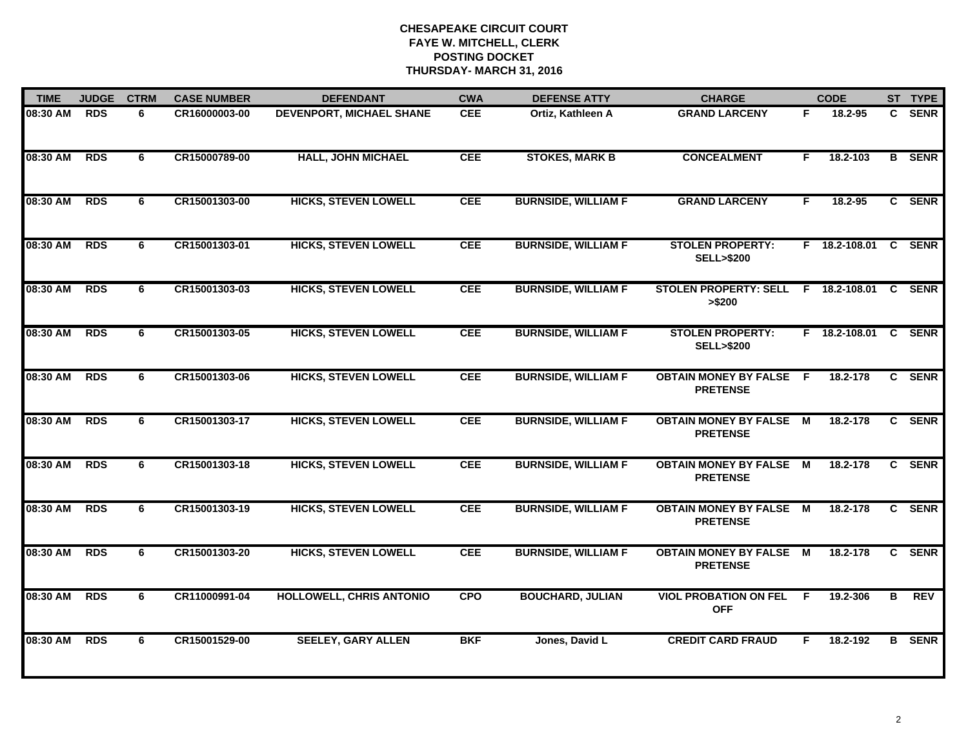| <b>TIME</b> | <b>JUDGE</b> | <b>CTRM</b> | <b>CASE NUMBER</b> | <b>DEFENDANT</b>                | <b>CWA</b> | <b>DEFENSE ATTY</b>        | <b>CHARGE</b>                                     |    | <b>CODE</b>     |              | ST TYPE       |
|-------------|--------------|-------------|--------------------|---------------------------------|------------|----------------------------|---------------------------------------------------|----|-----------------|--------------|---------------|
| 08:30 AM    | <b>RDS</b>   | 6           | CR16000003-00      | <b>DEVENPORT, MICHAEL SHANE</b> | <b>CEE</b> | Ortiz, Kathleen A          | <b>GRAND LARCENY</b>                              | F. | 18.2-95         |              | C SENR        |
| 08:30 AM    | <b>RDS</b>   | 6           | CR15000789-00      | <b>HALL, JOHN MICHAEL</b>       | <b>CEE</b> | <b>STOKES, MARK B</b>      | <b>CONCEALMENT</b>                                | F. | 18.2-103        |              | <b>B</b> SENR |
| 08:30 AM    | <b>RDS</b>   | 6           | CR15001303-00      | <b>HICKS, STEVEN LOWELL</b>     | <b>CEE</b> | <b>BURNSIDE, WILLIAM F</b> | <b>GRAND LARCENY</b>                              | F. | 18.2-95         |              | C SENR        |
| 08:30 AM    | <b>RDS</b>   | 6           | CR15001303-01      | <b>HICKS, STEVEN LOWELL</b>     | CEE        | <b>BURNSIDE, WILLIAM F</b> | <b>STOLEN PROPERTY:</b><br><b>SELL&gt;\$200</b>   |    | F 18.2-108.01   |              | C SENR        |
| 08:30 AM    | <b>RDS</b>   | 6           | CR15001303-03      | <b>HICKS, STEVEN LOWELL</b>     | <b>CEE</b> | <b>BURNSIDE, WILLIAM F</b> | <b>STOLEN PROPERTY: SELL</b><br>> \$200           |    | $F$ 18.2-108.01 | $\mathbf{C}$ | <b>SENR</b>   |
| 08:30 AM    | <b>RDS</b>   | 6           | CR15001303-05      | <b>HICKS, STEVEN LOWELL</b>     | <b>CEE</b> | <b>BURNSIDE, WILLIAM F</b> | <b>STOLEN PROPERTY:</b><br><b>SELL&gt;\$200</b>   |    | F 18.2-108.01 C |              | <b>SENR</b>   |
| 08:30 AM    | <b>RDS</b>   | 6           | CR15001303-06      | <b>HICKS, STEVEN LOWELL</b>     | <b>CEE</b> | <b>BURNSIDE, WILLIAM F</b> | <b>OBTAIN MONEY BY FALSE F</b><br><b>PRETENSE</b> |    | 18.2-178        | $\mathbf{c}$ | <b>SENR</b>   |
| 08:30 AM    | <b>RDS</b>   | 6           | CR15001303-17      | <b>HICKS, STEVEN LOWELL</b>     | <b>CEE</b> | <b>BURNSIDE, WILLIAM F</b> | <b>OBTAIN MONEY BY FALSE M</b><br><b>PRETENSE</b> |    | 18.2-178        |              | C SENR        |
| 08:30 AM    | <b>RDS</b>   | 6           | CR15001303-18      | <b>HICKS, STEVEN LOWELL</b>     | <b>CEE</b> | <b>BURNSIDE, WILLIAM F</b> | <b>OBTAIN MONEY BY FALSE</b><br><b>PRETENSE</b>   | M  | 18.2-178        |              | C SENR        |
| 08:30 AM    | <b>RDS</b>   | 6           | CR15001303-19      | <b>HICKS, STEVEN LOWELL</b>     | <b>CEE</b> | <b>BURNSIDE, WILLIAM F</b> | <b>OBTAIN MONEY BY FALSE M</b><br><b>PRETENSE</b> |    | 18.2-178        |              | C SENR        |
| 08:30 AM    | <b>RDS</b>   | 6           | CR15001303-20      | <b>HICKS, STEVEN LOWELL</b>     | <b>CEE</b> | <b>BURNSIDE, WILLIAM F</b> | <b>OBTAIN MONEY BY FALSE M</b><br><b>PRETENSE</b> |    | 18.2-178        | $\mathbf{c}$ | <b>SENR</b>   |
| 08:30 AM    | <b>RDS</b>   | 6           | CR11000991-04      | HOLLOWELL, CHRIS ANTONIO        | <b>CPO</b> | <b>BOUCHARD, JULIAN</b>    | <b>VIOL PROBATION ON FEL</b><br><b>OFF</b>        | F  | 19.2-306        | в            | <b>REV</b>    |
| 08:30 AM    | <b>RDS</b>   | 6           | CR15001529-00      | <b>SEELEY, GARY ALLEN</b>       | <b>BKF</b> | Jones, David L             | <b>CREDIT CARD FRAUD</b>                          | F. | 18.2-192        | B.           | <b>SENR</b>   |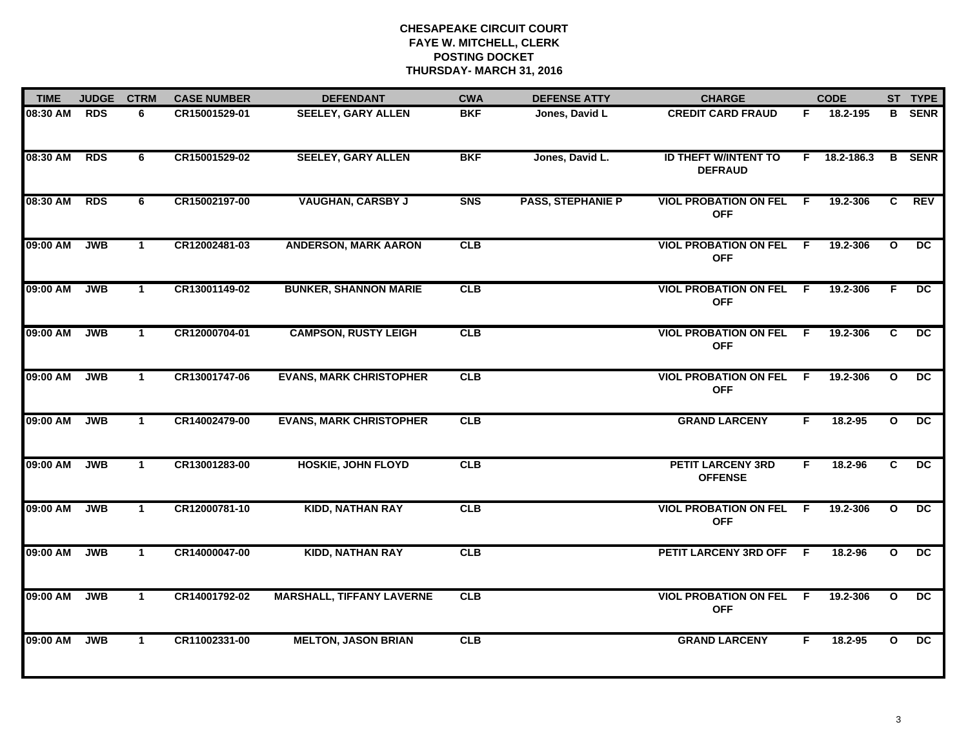| <b>TIME</b> | <b>JUDGE</b> | <b>CTRM</b>  | <b>CASE NUMBER</b> | <b>DEFENDANT</b>                 | <b>CWA</b> | <b>DEFENSE ATTY</b>      | <b>CHARGE</b>                                 |     | <b>CODE</b> |                | ST TYPE         |
|-------------|--------------|--------------|--------------------|----------------------------------|------------|--------------------------|-----------------------------------------------|-----|-------------|----------------|-----------------|
| 08:30 AM    | <b>RDS</b>   | 6            | CR15001529-01      | <b>SEELEY, GARY ALLEN</b>        | <b>BKF</b> | Jones, David L           | <b>CREDIT CARD FRAUD</b>                      | F.  | 18.2-195    |                | <b>B</b> SENR   |
| 08:30 AM    | <b>RDS</b>   | 6            | CR15001529-02      | <b>SEELEY, GARY ALLEN</b>        | <b>BKF</b> | Jones, David L.          | <b>ID THEFT W/INTENT TO</b><br><b>DEFRAUD</b> | F.  | 18.2-186.3  |                | <b>B</b> SENR   |
| 08:30 AM    | <b>RDS</b>   | 6            | CR15002197-00      | <b>VAUGHAN, CARSBY J</b>         | <b>SNS</b> | <b>PASS, STEPHANIE P</b> | <b>VIOL PROBATION ON FEL</b><br><b>OFF</b>    | F.  | 19.2-306    | $\overline{c}$ | <b>REV</b>      |
| 09:00 AM    | <b>JWB</b>   | $\mathbf 1$  | CR12002481-03      | <b>ANDERSON, MARK AARON</b>      | CLB        |                          | <b>VIOL PROBATION ON FEL</b><br><b>OFF</b>    | F   | 19.2-306    | $\mathbf{o}$   | DC.             |
| 09:00 AM    | <b>JWB</b>   | $\mathbf{1}$ | CR13001149-02      | <b>BUNKER, SHANNON MARIE</b>     | CLB        |                          | <b>VIOL PROBATION ON FEL</b><br><b>OFF</b>    | F.  | 19.2-306    | F.             | $\overline{DC}$ |
| 09:00 AM    | <b>JWB</b>   | $\mathbf{1}$ | CR12000704-01      | <b>CAMPSON, RUSTY LEIGH</b>      | CLB        |                          | <b>VIOL PROBATION ON FEL F</b><br><b>OFF</b>  |     | 19.2-306    | C.             | $\overline{DC}$ |
| 09:00 AM    | <b>JWB</b>   | $\mathbf{1}$ | CR13001747-06      | <b>EVANS, MARK CHRISTOPHER</b>   | CLB        |                          | <b>VIOL PROBATION ON FEL</b><br><b>OFF</b>    | - F | 19.2-306    | $\mathbf{o}$   | DC.             |
| 09:00 AM    | <b>JWB</b>   | $\mathbf{1}$ | CR14002479-00      | <b>EVANS, MARK CHRISTOPHER</b>   | CLB        |                          | <b>GRAND LARCENY</b>                          | F.  | 18.2-95     | $\mathbf{o}$   | DC              |
| 09:00 AM    | <b>JWB</b>   | $\mathbf 1$  | CR13001283-00      | <b>HOSKIE, JOHN FLOYD</b>        | CLB        |                          | <b>PETIT LARCENY 3RD</b><br><b>OFFENSE</b>    | F   | 18.2-96     | C              | $\overline{DC}$ |
| 09:00 AM    | <b>JWB</b>   | $\mathbf{1}$ | CR12000781-10      | <b>KIDD, NATHAN RAY</b>          | CLB        |                          | <b>VIOL PROBATION ON FEL</b><br><b>OFF</b>    | -F  | 19.2-306    | $\mathbf{o}$   | DC              |
| 09:00 AM    | <b>JWB</b>   | $\mathbf{1}$ | CR14000047-00      | <b>KIDD, NATHAN RAY</b>          | CLB        |                          | PETIT LARCENY 3RD OFF F                       |     | 18.2-96     | $\mathbf{o}$   | $\overline{DC}$ |
| 09:00 AM    | <b>JWB</b>   | $\mathbf{1}$ | CR14001792-02      | <b>MARSHALL, TIFFANY LAVERNE</b> | CLB        |                          | <b>VIOL PROBATION ON FEL</b><br><b>OFF</b>    | F.  | 19.2-306    | $\mathbf{o}$   | $\overline{DC}$ |
| 09:00 AM    | <b>JWB</b>   | $\mathbf 1$  | CR11002331-00      | <b>MELTON, JASON BRIAN</b>       | CLB        |                          | <b>GRAND LARCENY</b>                          | F.  | $18.2 - 95$ | $\mathbf{o}$   | DC              |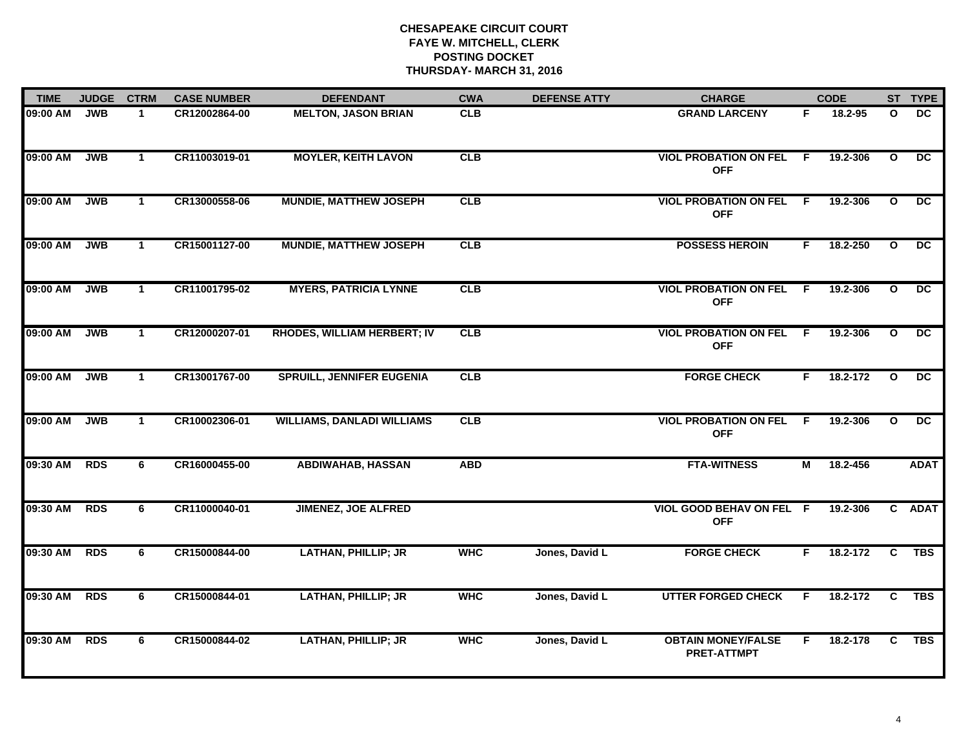| <b>TIME</b> | <b>JUDGE</b> | <b>CTRM</b>  | <b>CASE NUMBER</b> | <b>DEFENDANT</b>                   | <b>CWA</b> | <b>DEFENSE ATTY</b> | <b>CHARGE</b>                                   |                | <b>CODE</b> |                         | ST TYPE         |
|-------------|--------------|--------------|--------------------|------------------------------------|------------|---------------------|-------------------------------------------------|----------------|-------------|-------------------------|-----------------|
| 09:00 AM    | <b>JWB</b>   | $\mathbf{1}$ | CR12002864-00      | <b>MELTON, JASON BRIAN</b>         | <b>CLB</b> |                     | <b>GRAND LARCENY</b>                            | F.             | 18.2-95     | $\mathbf{o}$            | <b>DC</b>       |
| 09:00 AM    | <b>JWB</b>   | $\mathbf{1}$ | CR11003019-01      | <b>MOYLER, KEITH LAVON</b>         | CLB        |                     | <b>VIOL PROBATION ON FEL F</b><br><b>OFF</b>    |                | 19.2-306    | $\mathbf{o}$            | DC.             |
| 09:00 AM    | <b>JWB</b>   | $\mathbf{1}$ | CR13000558-06      | <b>MUNDIE, MATTHEW JOSEPH</b>      | CLB        |                     | <b>VIOL PROBATION ON FEL</b><br><b>OFF</b>      | $\overline{F}$ | 19.2-306    | $\overline{\mathbf{o}}$ | $\overline{DC}$ |
| 09:00 AM    | <b>JWB</b>   | $\mathbf 1$  | CR15001127-00      | <b>MUNDIE, MATTHEW JOSEPH</b>      | CLB        |                     | <b>POSSESS HEROIN</b>                           | F.             | 18.2-250    | $\mathbf{o}$            | $\overline{DC}$ |
| 09:00 AM    | <b>JWB</b>   | $\mathbf{1}$ | CR11001795-02      | <b>MYERS, PATRICIA LYNNE</b>       | CLB        |                     | <b>VIOL PROBATION ON FEL</b><br><b>OFF</b>      | F.             | 19.2-306    | $\mathbf{o}$            | DC.             |
| 09:00 AM    | <b>JWB</b>   | $\mathbf 1$  | CR12000207-01      | <b>RHODES, WILLIAM HERBERT; IV</b> | CLB        |                     | <b>VIOL PROBATION ON FEL F</b><br><b>OFF</b>    |                | 19.2-306    | $\mathbf{o}$            | DC              |
| 09:00 AM    | <b>JWB</b>   | $\mathbf{1}$ | CR13001767-00      | <b>SPRUILL, JENNIFER EUGENIA</b>   | CLB        |                     | <b>FORGE CHECK</b>                              | F.             | 18.2-172    | $\mathbf{o}$            | $\overline{DC}$ |
| 09:00 AM    | <b>JWB</b>   | $\mathbf{1}$ | CR10002306-01      | <b>WILLIAMS, DANLADI WILLIAMS</b>  | CLB        |                     | <b>VIOL PROBATION ON FEL</b><br><b>OFF</b>      | F.             | 19.2-306    | $\mathbf{o}$            | $\overline{DC}$ |
| 09:30 AM    | <b>RDS</b>   | 6            | CR16000455-00      | <b>ABDIWAHAB, HASSAN</b>           | <b>ABD</b> |                     | <b>FTA-WITNESS</b>                              | М              | 18.2-456    |                         | <b>ADAT</b>     |
| 09:30 AM    | <b>RDS</b>   | 6            | CR11000040-01      | <b>JIMENEZ, JOE ALFRED</b>         |            |                     | <b>VIOL GOOD BEHAV ON FEL F</b><br><b>OFF</b>   |                | 19.2-306    |                         | C ADAT          |
| 09:30 AM    | <b>RDS</b>   | 6            | CR15000844-00      | <b>LATHAN, PHILLIP; JR</b>         | <b>WHC</b> | Jones, David L      | <b>FORGE CHECK</b>                              | F.             | 18.2-172    | C                       | <b>TBS</b>      |
| 09:30 AM    | <b>RDS</b>   | 6            | CR15000844-01      | <b>LATHAN, PHILLIP; JR</b>         | <b>WHC</b> | Jones, David L      | <b>UTTER FORGED CHECK</b>                       | F.             | 18.2-172    | $\overline{c}$          | <b>TBS</b>      |
| 09:30 AM    | <b>RDS</b>   | 6            | CR15000844-02      | <b>LATHAN, PHILLIP; JR</b>         | <b>WHC</b> | Jones, David L      | <b>OBTAIN MONEY/FALSE</b><br><b>PRET-ATTMPT</b> | F.             | 18.2-178    | $\mathbf{C}$            | <b>TBS</b>      |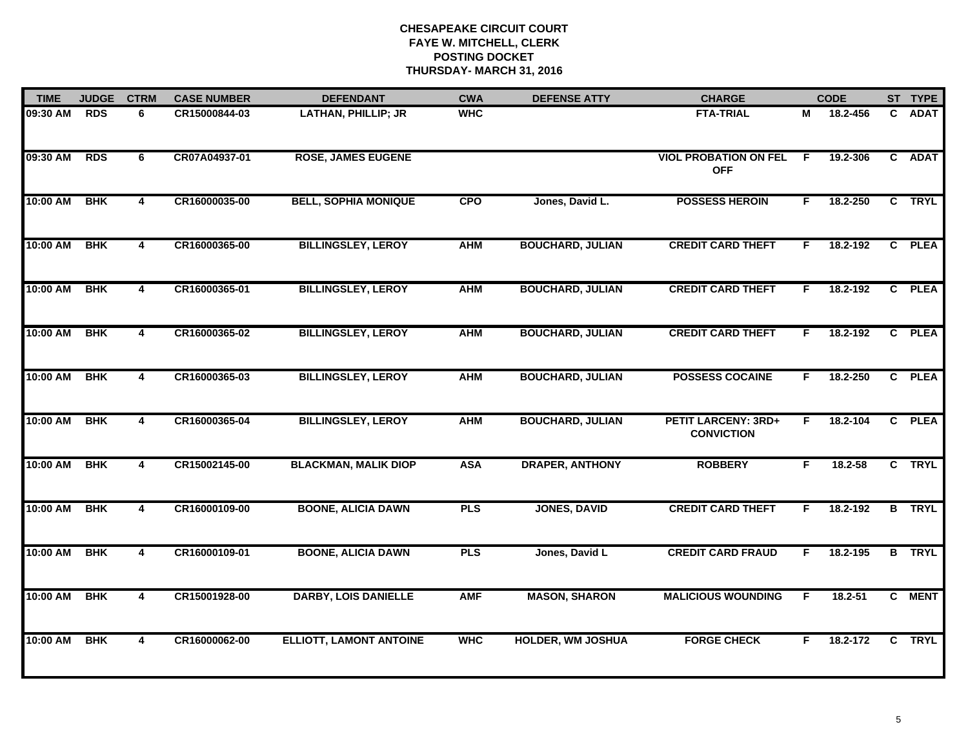| <b>TIME</b> | <b>JUDGE</b> | <b>CTRM</b>             | <b>CASE NUMBER</b> | <b>DEFENDANT</b>               | <b>CWA</b> | <b>DEFENSE ATTY</b>      | <b>CHARGE</b>                                   |    | <b>CODE</b> |                | ST TYPE       |
|-------------|--------------|-------------------------|--------------------|--------------------------------|------------|--------------------------|-------------------------------------------------|----|-------------|----------------|---------------|
| 09:30 AM    | <b>RDS</b>   | 6                       | CR15000844-03      | LATHAN, PHILLIP; JR            | <b>WHC</b> |                          | <b>FTA-TRIAL</b>                                | М  | 18.2-456    | C.             | <b>ADAT</b>   |
| 09:30 AM    | <b>RDS</b>   | 6                       | CR07A04937-01      | <b>ROSE, JAMES EUGENE</b>      |            |                          | <b>VIOL PROBATION ON FEL</b><br><b>OFF</b>      | E  | 19.2-306    |                | C ADAT        |
| 10:00 AM    | <b>BHK</b>   | $\overline{\mathbf{4}}$ | CR16000035-00      | <b>BELL, SOPHIA MONIQUE</b>    | <b>CPO</b> | Jones, David L.          | <b>POSSESS HEROIN</b>                           | F  | 18.2-250    |                | C TRYL        |
| 10:00 AM    | <b>BHK</b>   | 4                       | CR16000365-00      | <b>BILLINGSLEY, LEROY</b>      | <b>AHM</b> | <b>BOUCHARD, JULIAN</b>  | <b>CREDIT CARD THEFT</b>                        | F  | 18.2-192    | $\mathbf{c}$   | <b>PLEA</b>   |
| 10:00 AM    | <b>BHK</b>   | $\overline{\mathbf{4}}$ | CR16000365-01      | <b>BILLINGSLEY, LEROY</b>      | <b>AHM</b> | <b>BOUCHARD, JULIAN</b>  | <b>CREDIT CARD THEFT</b>                        | F  | 18.2-192    |                | C PLEA        |
| 10:00 AM    | <b>BHK</b>   | 4                       | CR16000365-02      | <b>BILLINGSLEY, LEROY</b>      | <b>AHM</b> | <b>BOUCHARD, JULIAN</b>  | <b>CREDIT CARD THEFT</b>                        | F. | 18.2-192    | $\mathbf{c}$   | <b>PLEA</b>   |
| 10:00 AM    | <b>BHK</b>   | 4                       | CR16000365-03      | <b>BILLINGSLEY, LEROY</b>      | <b>AHM</b> | <b>BOUCHARD, JULIAN</b>  | <b>POSSESS COCAINE</b>                          | F. | 18.2-250    | $\overline{c}$ | <b>PLEA</b>   |
| 10:00 AM    | <b>BHK</b>   | 4                       | CR16000365-04      | <b>BILLINGSLEY, LEROY</b>      | <b>AHM</b> | <b>BOUCHARD, JULIAN</b>  | <b>PETIT LARCENY: 3RD+</b><br><b>CONVICTION</b> | F. | 18.2-104    | $\mathbf{c}$   | <b>PLEA</b>   |
| 10:00 AM    | <b>BHK</b>   | 4                       | CR15002145-00      | <b>BLACKMAN, MALIK DIOP</b>    | <b>ASA</b> | <b>DRAPER, ANTHONY</b>   | <b>ROBBERY</b>                                  | F. | 18.2-58     |                | C TRYL        |
| 10:00 AM    | <b>BHK</b>   | 4                       | CR16000109-00      | <b>BOONE, ALICIA DAWN</b>      | <b>PLS</b> | <b>JONES, DAVID</b>      | <b>CREDIT CARD THEFT</b>                        | F  | 18.2-192    |                | <b>B</b> TRYL |
| 10:00 AM    | <b>BHK</b>   | 4                       | CR16000109-01      | <b>BOONE, ALICIA DAWN</b>      | <b>PLS</b> | Jones, David L           | <b>CREDIT CARD FRAUD</b>                        | F. | 18.2-195    |                | <b>B</b> TRYL |
| 10:00 AM    | <b>BHK</b>   | $\overline{4}$          | CR15001928-00      | <b>DARBY, LOIS DANIELLE</b>    | <b>AMF</b> | <b>MASON, SHARON</b>     | <b>MALICIOUS WOUNDING</b>                       | F  | $18.2 - 51$ |                | C MENT        |
| 10:00 AM    | <b>BHK</b>   | 4                       | CR16000062-00      | <b>ELLIOTT, LAMONT ANTOINE</b> | <b>WHC</b> | <b>HOLDER, WM JOSHUA</b> | <b>FORGE CHECK</b>                              | F  | 18.2-172    |                | C TRYL        |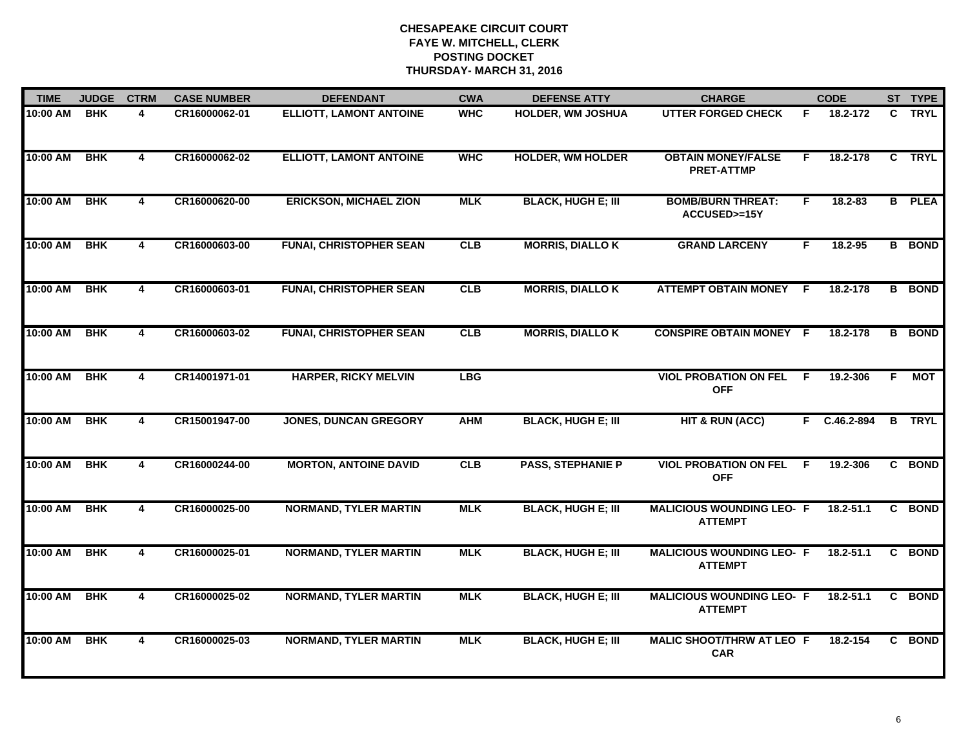| <b>TIME</b> | <b>JUDGE</b> | <b>CTRM</b>             | <b>CASE NUMBER</b> | <b>DEFENDANT</b>               | <b>CWA</b> | <b>DEFENSE ATTY</b>       | <b>CHARGE</b>                                      |     | <b>CODE</b>   |    | ST TYPE       |
|-------------|--------------|-------------------------|--------------------|--------------------------------|------------|---------------------------|----------------------------------------------------|-----|---------------|----|---------------|
| 10:00 AM    | <b>BHK</b>   | 4                       | CR16000062-01      | <b>ELLIOTT, LAMONT ANTOINE</b> | <b>WHC</b> | <b>HOLDER, WM JOSHUA</b>  | <b>UTTER FORGED CHECK</b>                          | F.  | 18.2-172      | C. | <b>TRYL</b>   |
| 10:00 AM    | <b>BHK</b>   | $\overline{4}$          | CR16000062-02      | <b>ELLIOTT, LAMONT ANTOINE</b> | <b>WHC</b> | <b>HOLDER, WM HOLDER</b>  | <b>OBTAIN MONEY/FALSE</b><br><b>PRET-ATTMP</b>     | F.  | 18.2-178      |    | C TRYL        |
| 10:00 AM    | <b>BHK</b>   | 4                       | CR16000620-00      | <b>ERICKSON, MICHAEL ZION</b>  | <b>MLK</b> | <b>BLACK, HUGH E; III</b> | <b>BOMB/BURN THREAT:</b><br>ACCUSED>=15Y           | F.  | $18.2 - 83$   |    | <b>B</b> PLEA |
| 10:00 AM    | <b>BHK</b>   | 4                       | CR16000603-00      | <b>FUNAI, CHRISTOPHER SEAN</b> | CLB        | <b>MORRIS, DIALLO K</b>   | <b>GRAND LARCENY</b>                               | F.  | $18.2 - 95$   |    | <b>B</b> BOND |
| 10:00 AM    | <b>BHK</b>   | 4                       | CR16000603-01      | <b>FUNAI, CHRISTOPHER SEAN</b> | CLB        | <b>MORRIS, DIALLO K</b>   | <b>ATTEMPT OBTAIN MONEY</b>                        | -F. | 18.2-178      |    | <b>B</b> BOND |
| 10:00 AM    | <b>BHK</b>   | 4                       | CR16000603-02      | <b>FUNAI, CHRISTOPHER SEAN</b> | <b>CLB</b> | <b>MORRIS, DIALLO K</b>   | <b>CONSPIRE OBTAIN MONEY F</b>                     |     | 18.2-178      |    | <b>B</b> BOND |
| 10:00 AM    | <b>BHK</b>   | $\overline{\mathbf{4}}$ | CR14001971-01      | <b>HARPER, RICKY MELVIN</b>    | <b>LBG</b> |                           | <b>VIOL PROBATION ON FEL</b><br><b>OFF</b>         | F.  | 19.2-306      | F. | <b>MOT</b>    |
| 10:00 AM    | <b>BHK</b>   | $\overline{4}$          | CR15001947-00      | <b>JONES, DUNCAN GREGORY</b>   | <b>AHM</b> | <b>BLACK, HUGH E; III</b> | <b>HIT &amp; RUN (ACC)</b>                         |     | F C.46.2-894  |    | <b>B</b> TRYL |
| 10:00 AM    | <b>BHK</b>   | 4                       | CR16000244-00      | <b>MORTON, ANTOINE DAVID</b>   | CLB        | <b>PASS, STEPHANIE P</b>  | <b>VIOL PROBATION ON FEL</b><br><b>OFF</b>         | -F  | 19.2-306      |    | C BOND        |
| 10:00 AM    | <b>BHK</b>   | $\overline{\mathbf{4}}$ | CR16000025-00      | <b>NORMAND, TYLER MARTIN</b>   | <b>MLK</b> | <b>BLACK, HUGH E; III</b> | <b>MALICIOUS WOUNDING LEO- F</b><br><b>ATTEMPT</b> |     | $18.2 - 51.1$ |    | C BOND        |
| 10:00 AM    | <b>BHK</b>   | $\overline{4}$          | CR16000025-01      | <b>NORMAND, TYLER MARTIN</b>   | <b>MLK</b> | <b>BLACK, HUGH E; III</b> | <b>MALICIOUS WOUNDING LEO- F</b><br><b>ATTEMPT</b> |     | $18.2 - 51.1$ |    | C BOND        |
| 10:00 AM    | <b>BHK</b>   | $\overline{\mathbf{4}}$ | CR16000025-02      | <b>NORMAND, TYLER MARTIN</b>   | <b>MLK</b> | <b>BLACK, HUGH E; III</b> | <b>MALICIOUS WOUNDING LEO- F</b><br><b>ATTEMPT</b> |     | $18.2 - 51.1$ |    | C BOND        |
| 10:00 AM    | <b>BHK</b>   | 4                       | CR16000025-03      | <b>NORMAND, TYLER MARTIN</b>   | <b>MLK</b> | <b>BLACK, HUGH E; III</b> | <b>MALIC SHOOT/THRW AT LEO F</b><br><b>CAR</b>     |     | 18.2-154      |    | C BOND        |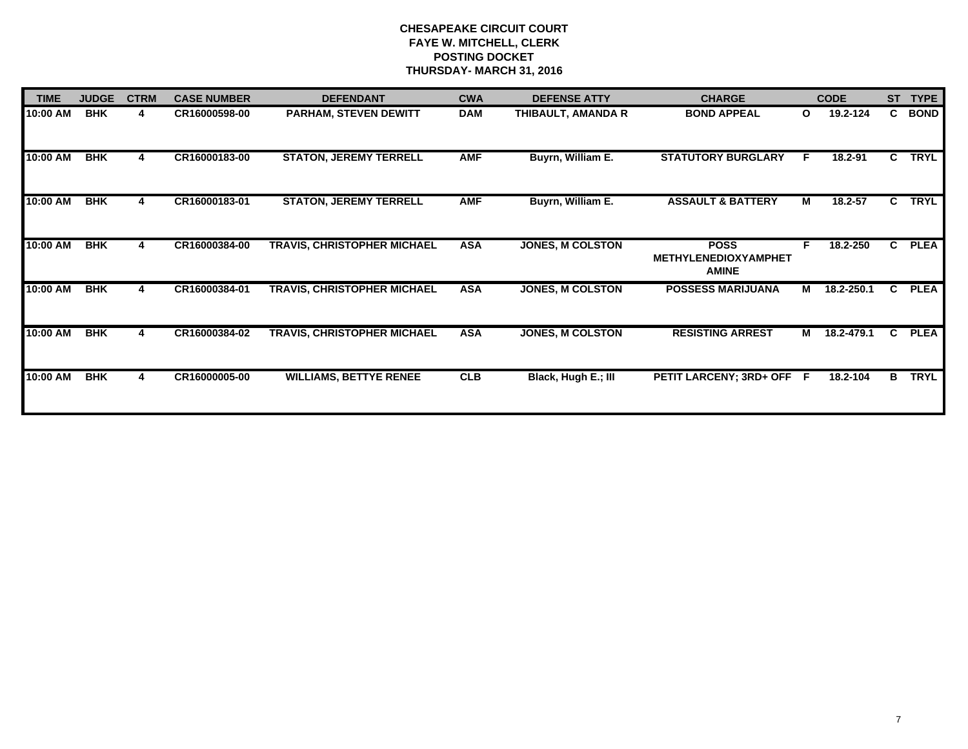| <b>TIME</b> | <b>JUDGE</b> | <b>CTRM</b> | <b>CASE NUMBER</b> | <b>DEFENDANT</b>                   | <b>CWA</b> | <b>DEFENSE ATTY</b>     | <b>CHARGE</b>                                              |              | <b>CODE</b> | <b>ST</b> | <b>TYPE</b> |
|-------------|--------------|-------------|--------------------|------------------------------------|------------|-------------------------|------------------------------------------------------------|--------------|-------------|-----------|-------------|
| 10:00 AM    | <b>BHK</b>   | 4           | CR16000598-00      | <b>PARHAM, STEVEN DEWITT</b>       | <b>DAM</b> | THIBAULT, AMANDA R      | <b>BOND APPEAL</b>                                         | $\mathbf{o}$ | 19.2-124    |           | C BOND      |
| 10:00 AM    | <b>BHK</b>   | 4           | CR16000183-00      | <b>STATON, JEREMY TERRELL</b>      | <b>AMF</b> | Buyrn, William E.       | <b>STATUTORY BURGLARY</b>                                  | F.           | 18.2-91     | C.        | <b>TRYL</b> |
| 10:00 AM    | BHK          | 4           | CR16000183-01      | <b>STATON, JEREMY TERRELL</b>      | <b>AMF</b> | Buyrn, William E.       | <b>ASSAULT &amp; BATTERY</b>                               | М            | $18.2 - 57$ | C.        | <b>TRYL</b> |
| 10:00 AM    | <b>BHK</b>   | 4           | CR16000384-00      | <b>TRAVIS, CHRISTOPHER MICHAEL</b> | <b>ASA</b> | <b>JONES, M COLSTON</b> | <b>POSS</b><br><b>METHYLENEDIOXYAMPHET</b><br><b>AMINE</b> | F.           | 18.2-250    | C.        | <b>PLEA</b> |
| 10:00 AM    | <b>BHK</b>   | 4           | CR16000384-01      | <b>TRAVIS, CHRISTOPHER MICHAEL</b> | <b>ASA</b> | <b>JONES, M COLSTON</b> | <b>POSSESS MARIJUANA</b>                                   | м            | 18.2-250.1  | C.        | <b>PLEA</b> |
| 10:00 AM    | <b>BHK</b>   | 4           | CR16000384-02      | <b>TRAVIS, CHRISTOPHER MICHAEL</b> | <b>ASA</b> | <b>JONES, M COLSTON</b> | <b>RESISTING ARREST</b>                                    | м            | 18.2-479.1  | C.        | <b>PLEA</b> |
| 10:00 AM    | <b>BHK</b>   | 4           | CR16000005-00      | <b>WILLIAMS, BETTYE RENEE</b>      | <b>CLB</b> | Black, Hugh E.; III     | PETIT LARCENY; 3RD+ OFF F                                  |              | 18.2-104    | B         | <b>TRYL</b> |